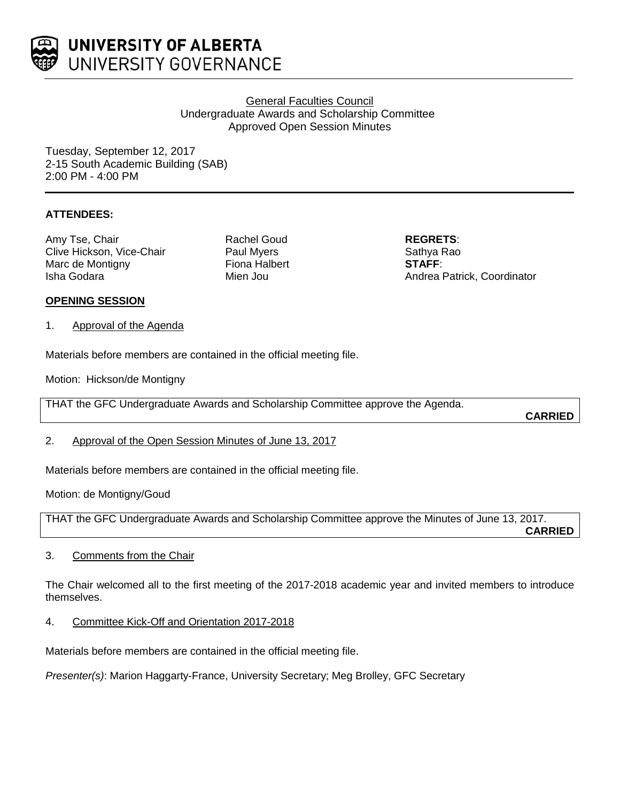

General Faculties Council Undergraduate Awards and Scholarship Committee Approved Open Session Minutes

Tuesday, September 12, 2017 2-15 South Academic Building (SAB) 2:00 PM - 4:00 PM

## **ATTENDEES:**

Amy Tse, Chair **Rachel Goud Rachel Goud REGRETS:** Clive Hickson, Vice-Chair **Paul Myers** Paul Myers Sathya Rao Marc de Montigny **Fiona Halbert STAFF**:

Isha Godara Mien Jou Andrea Patrick, Coordinator

#### **OPENING SESSION**

1. Approval of the Agenda

Materials before members are contained in the official meeting file.

Motion: Hickson/de Montigny

THAT the GFC Undergraduate Awards and Scholarship Committee approve the Agenda.

**CARRIED**

2. Approval of the Open Session Minutes of June 13, 2017

Materials before members are contained in the official meeting file.

Motion: de Montigny/Goud

THAT the GFC Undergraduate Awards and Scholarship Committee approve the Minutes of June 13, 2017. **CARRIED**

# 3. Comments from the Chair

The Chair welcomed all to the first meeting of the 2017-2018 academic year and invited members to introduce themselves.

4. Committee Kick-Off and Orientation 2017-2018

Materials before members are contained in the official meeting file.

*Presenter(s)*: Marion Haggarty-France, University Secretary; Meg Brolley, GFC Secretary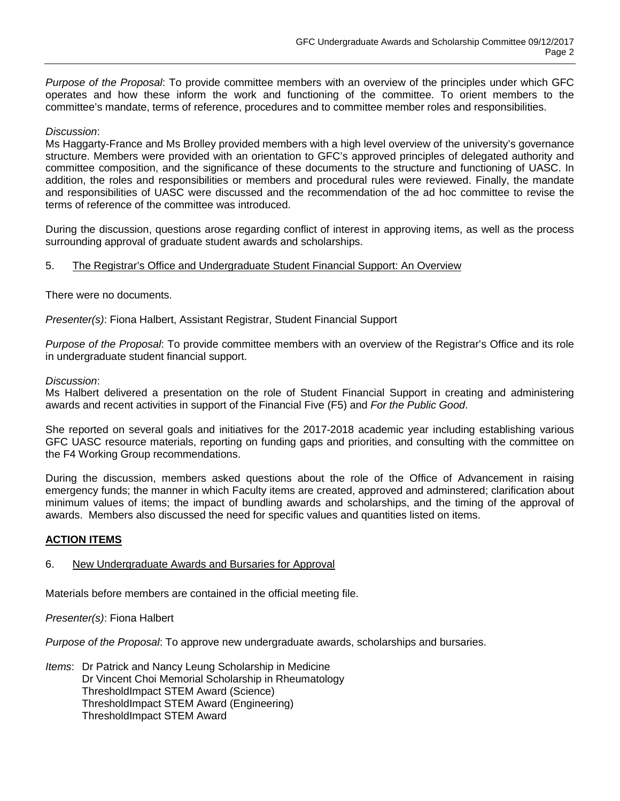*Purpose of the Proposal*: To provide committee members with an overview of the principles under which GFC operates and how these inform the work and functioning of the committee. To orient members to the committee's mandate, terms of reference, procedures and to committee member roles and responsibilities.

## *Discussion*:

Ms Haggarty-France and Ms Brolley provided members with a high level overview of the university's governance structure. Members were provided with an orientation to GFC's approved principles of delegated authority and committee composition, and the significance of these documents to the structure and functioning of UASC. In addition, the roles and responsibilities or members and procedural rules were reviewed. Finally, the mandate and responsibilities of UASC were discussed and the recommendation of the ad hoc committee to revise the terms of reference of the committee was introduced.

During the discussion, questions arose regarding conflict of interest in approving items, as well as the process surrounding approval of graduate student awards and scholarships.

## 5. The Registrar's Office and Undergraduate Student Financial Support: An Overview

There were no documents.

*Presenter(s)*: Fiona Halbert, Assistant Registrar, Student Financial Support

*Purpose of the Proposal*: To provide committee members with an overview of the Registrar's Office and its role in undergraduate student financial support.

#### *Discussion*:

Ms Halbert delivered a presentation on the role of Student Financial Support in creating and administering awards and recent activities in support of the Financial Five (F5) and *For the Public Good*.

She reported on several goals and initiatives for the 2017-2018 academic year including establishing various GFC UASC resource materials, reporting on funding gaps and priorities, and consulting with the committee on the F4 Working Group recommendations.

During the discussion, members asked questions about the role of the Office of Advancement in raising emergency funds; the manner in which Faculty items are created, approved and adminstered; clarification about minimum values of items; the impact of bundling awards and scholarships, and the timing of the approval of awards. Members also discussed the need for specific values and quantities listed on items.

#### **ACTION ITEMS**

#### 6. New Undergraduate Awards and Bursaries for Approval

Materials before members are contained in the official meeting file.

*Presenter(s)*: Fiona Halbert

*Purpose of the Proposal*: To approve new undergraduate awards, scholarships and bursaries.

*Items*: Dr Patrick and Nancy Leung Scholarship in Medicine Dr Vincent Choi Memorial Scholarship in Rheumatology ThresholdImpact STEM Award (Science) ThresholdImpact STEM Award (Engineering) ThresholdImpact STEM Award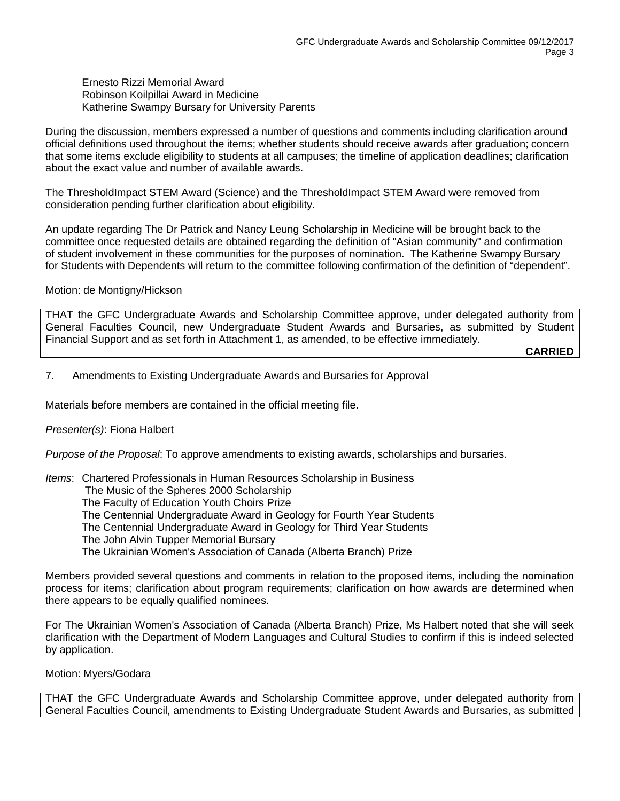Ernesto Rizzi Memorial Award Robinson Koilpillai Award in Medicine Katherine Swampy Bursary for University Parents

During the discussion, members expressed a number of questions and comments including clarification around official definitions used throughout the items; whether students should receive awards after graduation; concern that some items exclude eligibility to students at all campuses; the timeline of application deadlines; clarification about the exact value and number of available awards.

The ThresholdImpact STEM Award (Science) and the ThresholdImpact STEM Award were removed from consideration pending further clarification about eligibility.

An update regarding The Dr Patrick and Nancy Leung Scholarship in Medicine will be brought back to the committee once requested details are obtained regarding the definition of "Asian community" and confirmation of student involvement in these communities for the purposes of nomination. The Katherine Swampy Bursary for Students with Dependents will return to the committee following confirmation of the definition of "dependent".

## Motion: de Montigny/Hickson

THAT the GFC Undergraduate Awards and Scholarship Committee approve, under delegated authority from General Faculties Council, new Undergraduate Student Awards and Bursaries, as submitted by Student Financial Support and as set forth in Attachment 1, as amended, to be effective immediately.

**CARRIED**

## 7. Amendments to Existing Undergraduate Awards and Bursaries for Approval

Materials before members are contained in the official meeting file.

# *Presenter(s)*: Fiona Halbert

*Purpose of the Proposal*: To approve amendments to existing awards, scholarships and bursaries.

*Items*: Chartered Professionals in Human Resources Scholarship in Business

The Music of the Spheres 2000 Scholarship

The Faculty of Education Youth Choirs Prize

The Centennial Undergraduate Award in Geology for Fourth Year Students

The Centennial Undergraduate Award in Geology for Third Year Students

The John Alvin Tupper Memorial Bursary

The Ukrainian Women's Association of Canada (Alberta Branch) Prize

Members provided several questions and comments in relation to the proposed items, including the nomination process for items; clarification about program requirements; clarification on how awards are determined when there appears to be equally qualified nominees.

For The Ukrainian Women's Association of Canada (Alberta Branch) Prize, Ms Halbert noted that she will seek clarification with the Department of Modern Languages and Cultural Studies to confirm if this is indeed selected by application.

#### Motion: Myers/Godara

THAT the GFC Undergraduate Awards and Scholarship Committee approve, under delegated authority from General Faculties Council, amendments to Existing Undergraduate Student Awards and Bursaries, as submitted